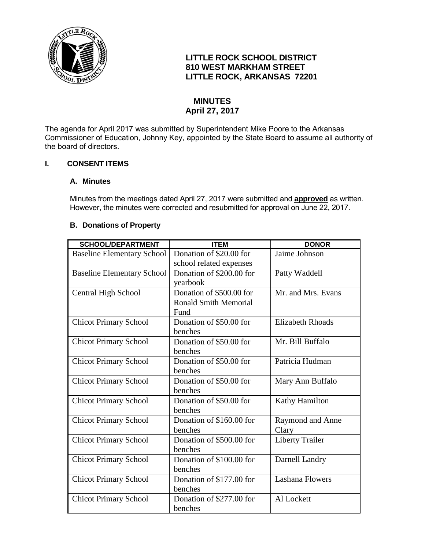

# **LITTLE ROCK SCHOOL DISTRICT 810 WEST MARKHAM STREET LITTLE ROCK, ARKANSAS 72201**

# **MINUTES April 27, 2017**

The agenda for April 2017 was submitted by Superintendent Mike Poore to the Arkansas Commissioner of Education, Johnny Key, appointed by the State Board to assume all authority of the board of directors.

## **I. CONSENT ITEMS**

## **A. Minutes**

Minutes from the meetings dated April 27, 2017 were submitted and **approved** as written. However, the minutes were corrected and resubmitted for approval on June 22, 2017.

## **B. Donations of Property**

| <b>SCHOOL/DEPARTMENT</b>          | <b>ITEM</b>                  | <b>DONOR</b>            |
|-----------------------------------|------------------------------|-------------------------|
| <b>Baseline Elementary School</b> | Donation of \$20.00 for      | Jaime Johnson           |
|                                   | school related expenses      |                         |
| <b>Baseline Elementary School</b> | Donation of \$200.00 for     | Patty Waddell           |
|                                   | yearbook                     |                         |
| Central High School               | Donation of \$500.00 for     | Mr. and Mrs. Evans      |
|                                   | <b>Ronald Smith Memorial</b> |                         |
|                                   | Fund                         |                         |
| <b>Chicot Primary School</b>      | Donation of \$50.00 for      | <b>Elizabeth Rhoads</b> |
|                                   | benches                      |                         |
| <b>Chicot Primary School</b>      | Donation of \$50.00 for      | Mr. Bill Buffalo        |
|                                   | benches                      |                         |
| <b>Chicot Primary School</b>      | Donation of \$50.00 for      | Patricia Hudman         |
|                                   | benches                      |                         |
| <b>Chicot Primary School</b>      | Donation of \$50.00 for      | Mary Ann Buffalo        |
|                                   | benches                      |                         |
| <b>Chicot Primary School</b>      | Donation of \$50.00 for      | Kathy Hamilton          |
|                                   | benches                      |                         |
| <b>Chicot Primary School</b>      | Donation of \$160.00 for     | Raymond and Anne        |
|                                   | benches                      | Clary                   |
| <b>Chicot Primary School</b>      | Donation of \$500.00 for     | <b>Liberty Trailer</b>  |
|                                   | benches                      |                         |
| <b>Chicot Primary School</b>      | Donation of \$100.00 for     | Darnell Landry          |
|                                   | benches                      |                         |
| <b>Chicot Primary School</b>      | Donation of \$177.00 for     | <b>Lashana Flowers</b>  |
|                                   | benches                      |                         |
| <b>Chicot Primary School</b>      | Donation of \$277.00 for     | Al Lockett              |
|                                   | benches                      |                         |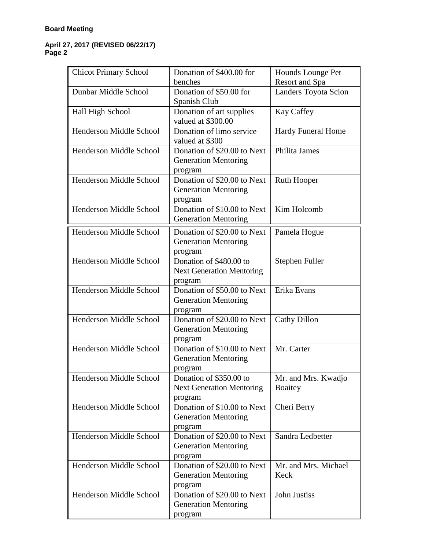| <b>Chicot Primary School</b> | Donation of \$400.00 for<br>benches                                    | Hounds Lounge Pet<br>Resort and Spa   |
|------------------------------|------------------------------------------------------------------------|---------------------------------------|
| Dunbar Middle School         | Donation of \$50.00 for<br>Spanish Club                                | Landers Toyota Scion                  |
| Hall High School             | Donation of art supplies<br>valued at \$300.00                         | Kay Caffey                            |
| Henderson Middle School      | Donation of limo service<br>valued at \$300                            | <b>Hardy Funeral Home</b>             |
| Henderson Middle School      | Donation of \$20.00 to Next<br><b>Generation Mentoring</b><br>program  | Philita James                         |
| Henderson Middle School      | Donation of \$20.00 to Next<br><b>Generation Mentoring</b><br>program  | <b>Ruth Hooper</b>                    |
| Henderson Middle School      | Donation of \$10.00 to Next<br><b>Generation Mentoring</b>             | Kim Holcomb                           |
| Henderson Middle School      | Donation of \$20.00 to Next<br><b>Generation Mentoring</b><br>program  | Pamela Hogue                          |
| Henderson Middle School      | Donation of \$480.00 to<br><b>Next Generation Mentoring</b><br>program | Stephen Fuller                        |
| Henderson Middle School      | Donation of \$50.00 to Next<br><b>Generation Mentoring</b><br>program  | Erika Evans                           |
| Henderson Middle School      | Donation of \$20.00 to Next<br><b>Generation Mentoring</b><br>program  | <b>Cathy Dillon</b>                   |
| Henderson Middle School      | Donation of \$10.00 to Next<br><b>Generation Mentoring</b><br>program  | Mr. Carter                            |
| Henderson Middle School      | Donation of \$350.00 to<br><b>Next Generation Mentoring</b><br>program | Mr. and Mrs. Kwadjo<br><b>Boaitey</b> |
| Henderson Middle School      | Donation of \$10.00 to Next<br><b>Generation Mentoring</b><br>program  | Cheri Berry                           |
| Henderson Middle School      | Donation of \$20.00 to Next<br><b>Generation Mentoring</b><br>program  | Sandra Ledbetter                      |
| Henderson Middle School      | Donation of \$20.00 to Next<br><b>Generation Mentoring</b><br>program  | Mr. and Mrs. Michael<br>Keck          |
| Henderson Middle School      | Donation of \$20.00 to Next<br><b>Generation Mentoring</b><br>program  | <b>John Justiss</b>                   |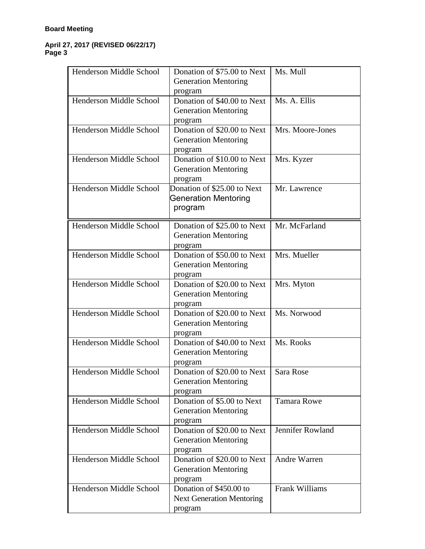| Henderson Middle School        | Donation of \$75.00 to Next      | Ms. Mull           |
|--------------------------------|----------------------------------|--------------------|
|                                | <b>Generation Mentoring</b>      |                    |
|                                | program                          |                    |
| Henderson Middle School        | Donation of \$40.00 to Next      | Ms. A. Ellis       |
|                                | <b>Generation Mentoring</b>      |                    |
|                                | program                          |                    |
| Henderson Middle School        | Donation of \$20.00 to Next      | Mrs. Moore-Jones   |
|                                | <b>Generation Mentoring</b>      |                    |
|                                | program                          |                    |
| <b>Henderson Middle School</b> | Donation of \$10.00 to Next      | Mrs. Kyzer         |
|                                | <b>Generation Mentoring</b>      |                    |
|                                | program                          |                    |
| Henderson Middle School        | Donation of \$25.00 to Next      | Mr. Lawrence       |
|                                | <b>Generation Mentoring</b>      |                    |
|                                | program                          |                    |
| Henderson Middle School        | Donation of \$25.00 to Next      | Mr. McFarland      |
|                                | <b>Generation Mentoring</b>      |                    |
|                                | program                          |                    |
| Henderson Middle School        | Donation of \$50.00 to Next      | Mrs. Mueller       |
|                                | <b>Generation Mentoring</b>      |                    |
|                                | program                          |                    |
| Henderson Middle School        | Donation of \$20.00 to Next      | Mrs. Myton         |
|                                | <b>Generation Mentoring</b>      |                    |
|                                | program                          |                    |
| Henderson Middle School        | Donation of \$20.00 to Next      | Ms. Norwood        |
|                                | <b>Generation Mentoring</b>      |                    |
|                                | program                          |                    |
| Henderson Middle School        | Donation of \$40.00 to Next      | Ms. Rooks          |
|                                | <b>Generation Mentoring</b>      |                    |
|                                | program                          |                    |
| Henderson Middle School        | Donation of \$20.00 to Next      | Sara Rose          |
|                                | <b>Generation Mentoring</b>      |                    |
|                                | program                          |                    |
| Henderson Middle School        | Donation of \$5.00 to Next       | <b>Tamara Rowe</b> |
|                                | <b>Generation Mentoring</b>      |                    |
|                                | program                          |                    |
| Henderson Middle School        | Donation of \$20.00 to Next      | Jennifer Rowland   |
|                                | <b>Generation Mentoring</b>      |                    |
|                                | program                          |                    |
| Henderson Middle School        | Donation of \$20.00 to Next      | Andre Warren       |
|                                | <b>Generation Mentoring</b>      |                    |
|                                | program                          |                    |
| Henderson Middle School        | Donation of \$450.00 to          | Frank Williams     |
|                                | <b>Next Generation Mentoring</b> |                    |
|                                | program                          |                    |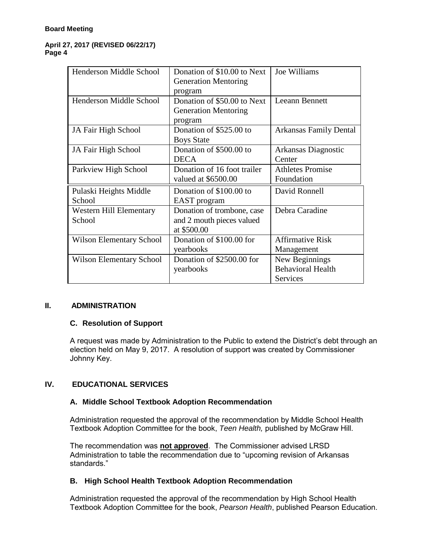| Henderson Middle School         | Donation of \$10.00 to Next | Joe Williams                  |
|---------------------------------|-----------------------------|-------------------------------|
|                                 | <b>Generation Mentoring</b> |                               |
|                                 | program                     |                               |
| Henderson Middle School         | Donation of \$50.00 to Next | Leeann Bennett                |
|                                 | <b>Generation Mentoring</b> |                               |
|                                 | program                     |                               |
| JA Fair High School             | Donation of \$525.00 to     | <b>Arkansas Family Dental</b> |
|                                 | <b>Boys State</b>           |                               |
| JA Fair High School             | Donation of \$500.00 to     | Arkansas Diagnostic           |
|                                 | <b>DECA</b>                 | Center                        |
| Parkview High School            | Donation of 16 foot trailer | <b>Athletes Promise</b>       |
|                                 | valued at \$6500.00         | Foundation                    |
| Pulaski Heights Middle          | Donation of \$100.00 to     | David Ronnell                 |
| School                          | EAST program                |                               |
| <b>Western Hill Elementary</b>  | Donation of trombone, case  | Debra Caradine                |
| School                          | and 2 mouth pieces valued   |                               |
|                                 | at \$500.00                 |                               |
| <b>Wilson Elementary School</b> | Donation of \$100.00 for    | <b>Affirmative Risk</b>       |
|                                 | yearbooks                   | Management                    |
| <b>Wilson Elementary School</b> | Donation of \$2500.00 for   | New Beginnings                |
|                                 | yearbooks                   | <b>Behavioral Health</b>      |
|                                 |                             | Services                      |

## **II. ADMINISTRATION**

## **C. Resolution of Support**

A request was made by Administration to the Public to extend the District's debt through an election held on May 9, 2017. A resolution of support was created by Commissioner Johnny Key.

## **IV. EDUCATIONAL SERVICES**

## **A. Middle School Textbook Adoption Recommendation**

Administration requested the approval of the recommendation by Middle School Health Textbook Adoption Committee for the book, *Teen Health,* published by McGraw Hill.

The recommendation was **not approved**. The Commissioner advised LRSD Administration to table the recommendation due to "upcoming revision of Arkansas standards."

## **B. High School Health Textbook Adoption Recommendation**

Administration requested the approval of the recommendation by High School Health Textbook Adoption Committee for the book, *Pearson Health*, published Pearson Education.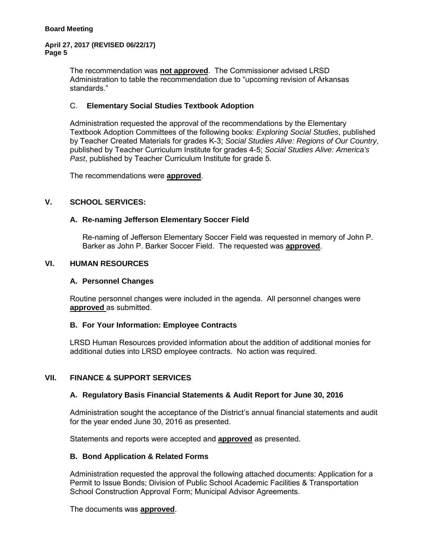The recommendation was **not approved**. The Commissioner advised LRSD Administration to table the recommendation due to "upcoming revision of Arkansas standards."

## C. **Elementary Social Studies Textbook Adoption**

Administration requested the approval of the recommendations by the Elementary Textbook Adoption Committees of the following books: *Exploring Social Studies*, published by Teacher Created Materials for grades K-3; *Social Studies Alive: Regions of Our Country*, published by Teacher Curriculum Institute for grades 4-5; *Social Studies Alive: America's Past*, published by Teacher Curriculum Institute for grade 5.

The recommendations were **approved**.

#### **V. SCHOOL SERVICES:**

#### **A. Re-naming Jefferson Elementary Soccer Field**

Re-naming of Jefferson Elementary Soccer Field was requested in memory of John P. Barker as John P. Barker Soccer Field. The requested was **approved**.

#### **VI. HUMAN RESOURCES**

#### **A. Personnel Changes**

Routine personnel changes were included in the agenda. All personnel changes were **approved** as submitted.

#### **B. For Your Information: Employee Contracts**

LRSD Human Resources provided information about the addition of additional monies for additional duties into LRSD employee contracts. No action was required.

## **VII. FINANCE & SUPPORT SERVICES**

#### **A. Regulatory Basis Financial Statements & Audit Report for June 30, 2016**

Administration sought the acceptance of the District's annual financial statements and audit for the year ended June 30, 2016 as presented.

Statements and reports were accepted and **approved** as presented.

#### **B. Bond Application & Related Forms**

Administration requested the approval the following attached documents: Application for a Permit to Issue Bonds; Division of Public School Academic Facilities & Transportation School Construction Approval Form; Municipal Advisor Agreements.

The documents was **approved**.